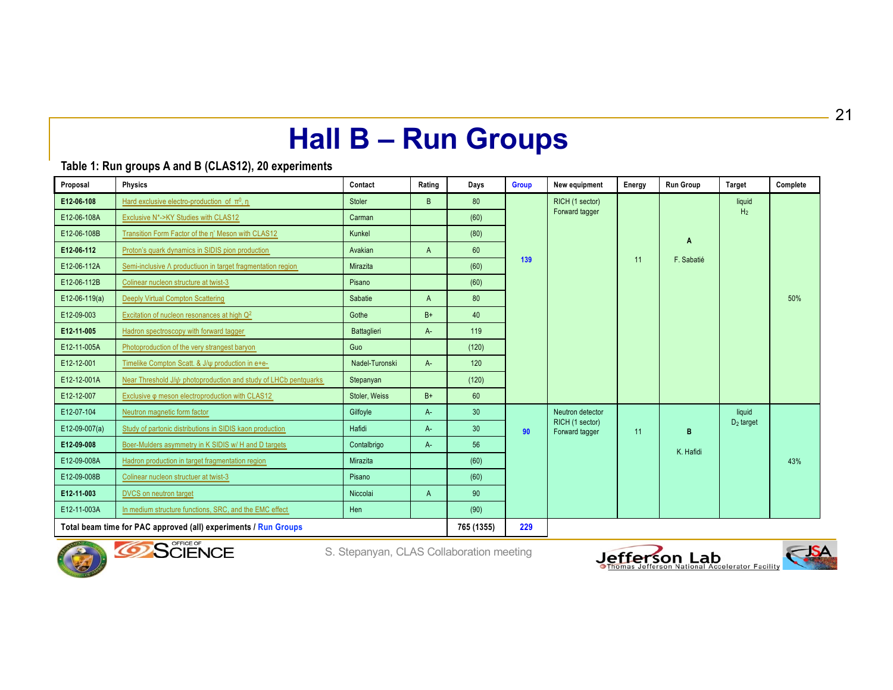# **Table 1: Run groups A and B (CLAS12), 20 experiments**

| Proposal                                                        | <b>Physics</b>                                                       | Contact            | Rating | Days            | <b>Group</b> | New equipment                     | Energy | <b>Run Group</b> | Target         | Complete |
|-----------------------------------------------------------------|----------------------------------------------------------------------|--------------------|--------|-----------------|--------------|-----------------------------------|--------|------------------|----------------|----------|
| E12-06-108                                                      | Hard exclusive electro-production of $\pi^0$ , $\eta$                | Stoler             | B      | 80              |              | RICH (1 sector)                   |        |                  | liquid         |          |
| E12-06-108A                                                     | Exclusive N*->KY Studies with CLAS12                                 | Carman             |        | (60)            |              | Forward tagger                    |        |                  | H <sub>2</sub> |          |
| E12-06-108B                                                     | Transition Form Factor of the n' Meson with CLAS12                   | Kunkel             |        | (80)            |              |                                   |        | A                |                |          |
| E12-06-112                                                      | Proton's quark dynamics in SIDIS pion production                     | Avakian            | A      | 60              |              |                                   |        | F. Sabatié       |                |          |
| E12-06-112A                                                     | Semi-inclusive A productiuon in target fragmentation region          | Mirazita           |        | (60)            | 139          |                                   | 11     |                  |                |          |
| E12-06-112B                                                     | Colinear nucleon structure at twist-3                                | Pisano             |        | (60)            |              |                                   |        |                  |                |          |
| $E12-06-119(a)$                                                 | Deeply Virtual Compton Scattering                                    | Sabatie            | A      | 80              |              |                                   |        |                  |                | 50%      |
| E12-09-003                                                      | Excitation of nucleon resonances at high Q <sup>2</sup>              | Gothe              | $B+$   | 40              |              |                                   |        |                  |                |          |
| E12-11-005                                                      | Hadron spectroscopy with forward tagger                              | <b>Battaglieri</b> | A-     | 119             |              |                                   |        |                  |                |          |
| E12-11-005A                                                     | Photoproduction of the very strangest baryon                         | Guo                |        | (120)           |              |                                   |        |                  |                |          |
| E12-12-001                                                      | Timelike Compton Scatt. & J/ $\psi$ production in e+e-               | Nadel-Turonski     | A-     | 120             |              |                                   |        |                  |                |          |
| E12-12-001A                                                     | Near Threshold $J/\psi$ photoproduction and study of LHCb pentquarks | Stepanyan          |        | (120)           |              |                                   |        |                  |                |          |
| E12-12-007                                                      | Exclusive $\varphi$ meson electroproduction with CLAS12              | Stoler, Weiss      | $B+$   | 60              |              |                                   |        |                  |                |          |
| E12-07-104                                                      | Neutron magnetic form factor                                         | Gilfoyle           | A-     | 30 <sup>°</sup> |              | Neutron detector                  |        |                  | liquid         |          |
| $E12-09-007(a)$                                                 | Study of partonic distributions in SIDIS kaon production             | Hafidi             | A-     | 30              | 90           | RICH (1 sector)<br>Forward tagger | 11     | в                | $D2$ target    |          |
| E12-09-008                                                      | Boer-Mulders asymmetry in K SIDIS w/H and D targets                  | Contalbrigo        | A-     | 56              |              |                                   |        | K. Hafidi        |                |          |
| E12-09-008A                                                     | Hadron production in target fragmentation region                     | Mirazita           |        | (60)            |              |                                   |        |                  |                | 43%      |
| E12-09-008B                                                     | Colinear nucleon structuer at twist-3                                | Pisano             |        | (60)            |              |                                   |        |                  |                |          |
| E12-11-003                                                      | DVCS on neutron target                                               | Niccolai           | A      | 90              |              |                                   |        |                  |                |          |
| E12-11-003A                                                     | In medium structure functions, SRC, and the EMC effect               | Hen                |        | (90)            |              |                                   |        |                  |                |          |
| Total beam time for PAC approved (all) experiments / Run Groups |                                                                      |                    |        | 765 (1355)      | 229          |                                   |        |                  |                |          |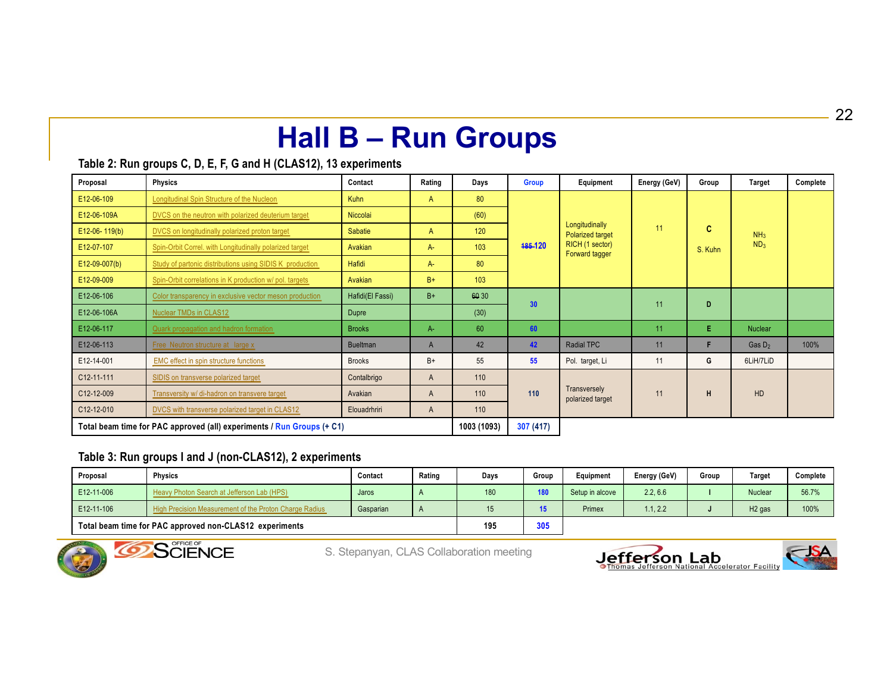# **Table 2: Run groups C, D, E, F, G and H (CLAS12), 13 experiments**

| Proposal                                                               | <b>Physics</b>                                           | Contact          | Rating         | Days        | <b>Group</b>    | Equipment                                                               | Energy (GeV) | Group         | Target                             | Complete |
|------------------------------------------------------------------------|----------------------------------------------------------|------------------|----------------|-------------|-----------------|-------------------------------------------------------------------------|--------------|---------------|------------------------------------|----------|
| E12-06-109                                                             | Longitudinal Spin Structure of the Nucleon               | Kuhn             | $\overline{A}$ | 80          |                 | Longitudinally<br>Polarized target<br>RICH (1 sector)<br>Forward tagger | 11           | C.<br>S. Kuhn | NH <sub>3</sub><br>ND <sub>3</sub> |          |
| E12-06-109A                                                            | DVCS on the neutron with polarized deuterium target      | Niccolai         |                | (60)        |                 |                                                                         |              |               |                                    |          |
| E12-06-119(b)                                                          | DVCS on longitudinally polarized proton target           | Sabatie          | $\overline{A}$ | 120         |                 |                                                                         |              |               |                                    |          |
| E12-07-107                                                             | Spin-Orbit Correl. with Longitudinally polarized target  | Avakian          | A-             | 103         | 485-120         |                                                                         |              |               |                                    |          |
| E12-09-007(b)                                                          | Study of partonic distributions using SIDIS K production | Hafidi           | $A -$          | 80          |                 |                                                                         |              |               |                                    |          |
| E12-09-009                                                             | Spin-Orbit correlations in K production w/ pol. targets  | Avakian          | $B+$           | 103         |                 |                                                                         |              |               |                                    |          |
| E12-06-106                                                             | Color transparency in exclusive vector meson production  | Hafidi(El Fassi) | $B+$           | 60 30       | 30 <sup>°</sup> |                                                                         | 11           | D             |                                    |          |
| E12-06-106A                                                            | Nuclear TMDs in CLAS12                                   | Dupre            |                | (30)        |                 |                                                                         |              |               |                                    |          |
| E12-06-117                                                             | <b>Quark propagation and hadron formation</b>            | <b>Brooks</b>    | A-             | 60          | 60              |                                                                         | 11           | E.            | Nuclear                            |          |
| E12-06-113                                                             | Free Neutron structure at large x                        | <b>Bueltman</b>  | $\overline{A}$ | 42          | 42              | Radial TPC                                                              | 11           | F             | Gas $D2$                           | 100%     |
| E12-14-001                                                             | EMC effect in spin structure functions                   | <b>Brooks</b>    | B+             | 55          | 55              | Pol. target, Li                                                         | 11           | G             | 6LiH/7LiD                          |          |
| C12-11-111                                                             | SIDIS on transverse polarized target                     | Contalbrigo      | $\mathsf{A}$   | 110         |                 | Transversely<br>polarized target                                        | 11           | H             | HD                                 |          |
| C12-12-009                                                             | Transversity w/ di-hadron on transvere target            | Avakian          | $\overline{A}$ | 110         | 110             |                                                                         |              |               |                                    |          |
| C12-12-010                                                             | DVCS with transverse polarized target in CLAS12          | Elouadrhriri     | $\overline{A}$ | 110         |                 |                                                                         |              |               |                                    |          |
| Total beam time for PAC approved (all) experiments / Run Groups (+ C1) |                                                          |                  |                | 1003 (1093) | 307 (417)       |                                                                         |              |               |                                    |          |

# **Table 3: Run groups I and J (non-CLAS12), 2 experiments**

| Proposal                                                | <b>Physics</b>                                         | Contact   | Rating | Days | Group | Equipment       | Energy (GeV) | Group | Target             | Complete |
|---------------------------------------------------------|--------------------------------------------------------|-----------|--------|------|-------|-----------------|--------------|-------|--------------------|----------|
| E12-11-006                                              | Heavy Photon Search at Jefferson Lab (HPS)             | Jaros     |        | 180  | 180   | Setup in alcove | 2.2, 6.6     |       | <b>Nuclear</b>     | 56.7%    |
| E12-11-106                                              | High Precision Measurement of the Proton Charge Radius | Gasparian | P      | 15   |       | Primex          | 1.1.2.2      |       | H <sub>2</sub> qas | 100%     |
| Total beam time for PAC approved non-CLAS12 experiments |                                                        |           |        | 195  | 305   |                 |              |       |                    |          |